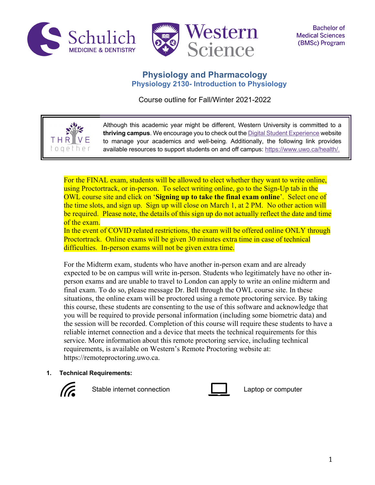

THR toget



# **Physiology and Pharmacology Physiology 2130- Introduction to Physiology**

Course outline for Fall/Winter 2021-2022

Although this academic year might be different, Western University is committed to a **thriving campus**. We encourage you to check out the Digital Student Experience website to manage your academics and well-being. Additionally, the following link provides available resources to support students on and off campus: https://www.uwo.ca/health/.

For the FINAL exam, students will be allowed to elect whether they want to write online, using Proctortrack, or in-person. To select writing online, go to the Sign-Up tab in the OWL course site and click on '**Signing up to take the final exam online**'. Select one of the time slots, and sign up. Sign up will close on March 1, at 2 PM. No other action will be required. Please note, the details of this sign up do not actually reflect the date and time of the exam.

In the event of COVID related restrictions, the exam will be offered online ONLY through Proctortrack. Online exams will be given 30 minutes extra time in case of technical difficulties. In-person exams will not be given extra time.

For the Midterm exam, students who have another in-person exam and are already expected to be on campus will write in-person. Students who legitimately have no other inperson exams and are unable to travel to London can apply to write an online midterm and final exam. To do so, please message Dr. Bell through the OWL course site. In these situations, the online exam will be proctored using a remote proctoring service. By taking this course, these students are consenting to the use of this software and acknowledge that you will be required to provide personal information (including some biometric data) and the session will be recorded. Completion of this course will require these students to have a reliable internet connection and a device that meets the technical requirements for this service. More information about this remote proctoring service, including technical requirements, is available on Western's Remote Proctoring website at: https://remoteproctoring.uwo.ca.

**1. Technical Requirements:**



Stable internet connection **Laptop** Captop or computer

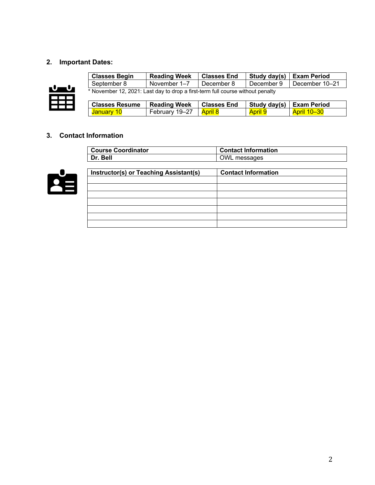# **2. Important Dates:**



| <b>Classes Begin</b>                                                           | <b>Reading Week</b> | <b>Classes End</b> | Study day(s)   | <b>Exam Period</b> |
|--------------------------------------------------------------------------------|---------------------|--------------------|----------------|--------------------|
| September 8<br>November 1-7<br>December 8                                      |                     | December 9         | December 10-21 |                    |
| * November 12, 2021: Last day to drop a first-term full course without penalty |                     |                    |                |                    |
| <b>Classes Resume</b>                                                          | <b>Reading Week</b> | <b>Classes End</b> | Study day(s)   | <b>Exam Period</b> |
| <mark>January 10</mark>                                                        | February 19-27      | April 8            | <b>April 9</b> | <b>April 10-30</b> |

# **3. Contact Information**

| <b>Course Coordinator</b> | <b>Contact Information</b> |
|---------------------------|----------------------------|
| Dr. Bell                  | OWL messages               |



| Instructor(s) or Teaching Assistant(s) | <b>Contact Information</b> |
|----------------------------------------|----------------------------|
|                                        |                            |
|                                        |                            |
|                                        |                            |
|                                        |                            |
|                                        |                            |
|                                        |                            |
|                                        |                            |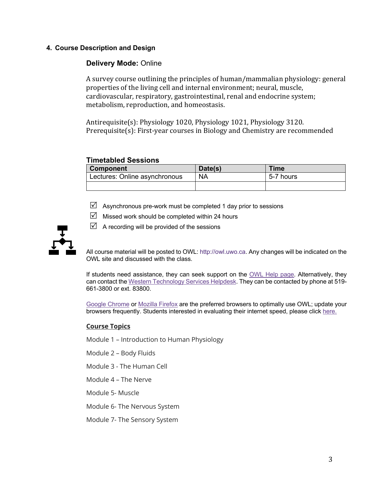## **4. Course Description and Design**

# **Delivery Mode:** Online

A survey course outlining the principles of human/mammalian physiology: general properties of the living cell and internal environment; neural, muscle, cardiovascular, respiratory, gastrointestinal, renal and endocrine system; metabolism, reproduction, and homeostasis.

Antirequisite(s):  $Physiology 1020$ ,  $Physiology 1021$ ,  $Physiology 3120$ . Prerequisite(s): First-year courses in Biology and Chemistry are recommended

### **Timetabled Sessions**

| <b>Component</b>              | Date(s)   | <b>Time</b> |
|-------------------------------|-----------|-------------|
| Lectures: Online asynchronous | <b>NA</b> | 5-7 hours   |
|                               |           |             |

- $\boxtimes$  Asynchronous pre-work must be completed 1 day prior to sessions
- $\triangledown$  Missed work should be completed within 24 hours
- $\boxtimes$  A recording will be provided of the sessions

All course material will be posted to OWL: http://owl.uwo.ca. Any changes will be indicated on the OWL site and discussed with the class.

If students need assistance, they can seek support on the OWL Help page. Alternatively, they can contact the Western Technology Services Helpdesk. They can be contacted by phone at 519- 661-3800 or ext. 83800.

Google Chrome or Mozilla Firefox are the preferred browsers to optimally use OWL; update your browsers frequently. Students interested in evaluating their internet speed, please click here.

### **Course Topics**

- Module 1 Introduction to Human Physiology
- Module 2 Body Fluids
- Module 3 The Human Cell
- Module 4 The Nerve
- Module 5- Muscle
- Module 6- The Nervous System
- Module 7- The Sensory System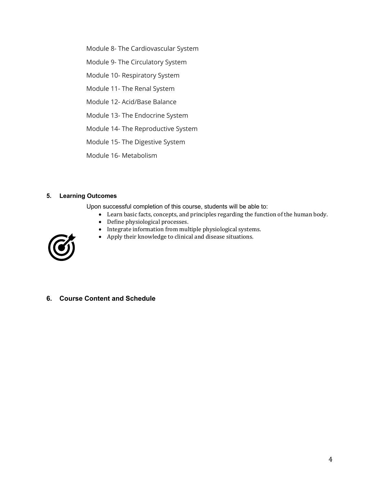Module 8- The Cardiovascular System

Module 9- The Circulatory System

Module 10- Respiratory System

Module 11- The Renal System

Module 12- Acid/Base Balance

Module 13- The Endocrine System

Module 14- The Reproductive System

Module 15- The Digestive System

Module 16- Metabolism

### **5. Learning Outcomes**

Upon successful completion of this course, students will be able to:

- Learn basic facts, concepts, and principles regarding the function of the human body.
- Define physiological processes.
- Integrate information from multiple physiological systems.
- Apply their knowledge to clinical and disease situations.



**6. Course Content and Schedule**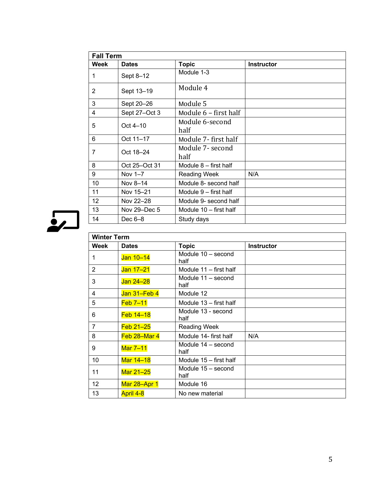| <b>Fall Term</b> |               |                         |                   |
|------------------|---------------|-------------------------|-------------------|
| Week             | <b>Dates</b>  | <b>Topic</b>            | <b>Instructor</b> |
| 1                | Sept 8-12     | Module 1-3              |                   |
| 2                | Sept 13-19    | Module 4                |                   |
| 3                | Sept 20-26    | Module 5                |                   |
| $\overline{4}$   | Sept 27-Oct 3 | Module 6 - first half   |                   |
| 5                | Oct $4-10$    | Module 6-second         |                   |
|                  |               | half                    |                   |
| 6                | Oct 11-17     | Module 7-first half     |                   |
| 7                | Oct 18-24     | Module 7- second        |                   |
|                  |               | half                    |                   |
| 8                | Oct 25-Oct 31 | Module $8$ – first half |                   |
| 9                | Nov 1-7       | <b>Reading Week</b>     | N/A               |
| 10               | Nov 8-14      | Module 8- second half   |                   |
| 11               | Nov 15-21     | Module 9 – first half   |                   |
| 12               | Nov 22-28     | Module 9- second half   |                   |
| 13               | Nov 29-Dec 5  | Module 10 - first half  |                   |
| 14               | Dec $6-8$     | Study days              |                   |



| <b>Winter Term</b> |              |                            |                   |
|--------------------|--------------|----------------------------|-------------------|
| Week               | <b>Dates</b> | <b>Topic</b>               | <b>Instructor</b> |
| 1                  | Jan 10-14    | Module 10 - second<br>half |                   |
| 2                  | Jan 17-21    | Module 11 - first half     |                   |
| 3                  | Jan 24-28    | Module 11 - second<br>half |                   |
| 4                  | Jan 31-Feb 4 | Module 12                  |                   |
| 5                  | $Feb$ 7-11   | Module 13 - first half     |                   |
| 6                  | Feb 14-18    | Module 13 - second<br>half |                   |
| $\overline{7}$     | $Feb 21-25$  | <b>Reading Week</b>        |                   |
| 8                  | Feb 28-Mar 4 | Module 14- first half      | N/A               |
| 9                  | Mar 7-11     | Module 14 - second<br>half |                   |
| 10                 | Mar 14-18    | Module 15 - first half     |                   |
| 11                 | Mar 21-25    | Module 15 - second<br>half |                   |
| 12                 | Mar 28-Apr 1 | Module 16                  |                   |
| 13                 | April 4-8    | No new material            |                   |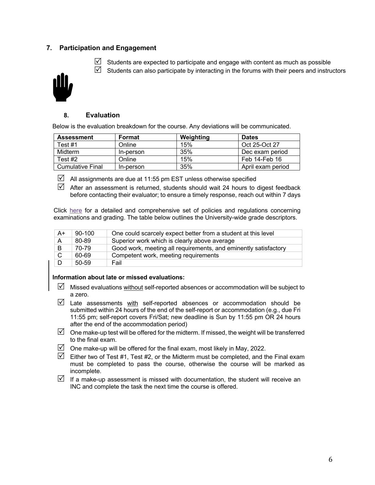## **7. Participation and Engagement**

 $\boxtimes$  Students are expected to participate and engage with content as much as possible



 $\boxtimes$  Students can also participate by interacting in the forums with their peers and instructors

### **8. Evaluation**

Below is the evaluation breakdown for the course. Any deviations will be communicated.

| <b>Assessment</b>       | Format    | Weighting | <b>Dates</b>      |
|-------------------------|-----------|-----------|-------------------|
| Test #1                 | Online    | 15%       | Oct 25-Oct 27     |
| Midterm                 | In-person | 35%       | Dec exam period   |
| Test #2                 | Online    | 15%       | Feb 14-Feb 16     |
| <b>Cumulative Final</b> | In-person | 35%       | April exam period |

 $\boxtimes$  All assignments are due at 11:55 pm EST unless otherwise specified

 $\boxtimes$  After an assessment is returned, students should wait 24 hours to digest feedback before contacting their evaluator; to ensure a timely response, reach out within 7 days

Click here for a detailed and comprehensive set of policies and regulations concerning examinations and grading. The table below outlines the University-wide grade descriptors.

| A+ | $90-100$  | One could scarcely expect better from a student at this level   |
|----|-----------|-----------------------------------------------------------------|
| A  | 80-89     | Superior work which is clearly above average                    |
| B  | 70-79     | Good work, meeting all requirements, and eminently satisfactory |
| C  | 60-69     | Competent work, meeting requirements                            |
| D  | $50 - 59$ | Fail                                                            |

#### **Information about late or missed evaluations:**

- $\boxtimes$  Missed evaluations without self-reported absences or accommodation will be subject to a zero.
- $\boxtimes$  Late assessments with self-reported absences or accommodation should be submitted within 24 hours of the end of the self-report or accommodation (e.g., due Fri 11:55 pm; self-report covers Fri/Sat; new deadline is Sun by 11:55 pm OR 24 hours after the end of the accommodation period)
- $\boxtimes$  One make-up test will be offered for the midterm. If missed, the weight will be transferred to the final exam.
- $\boxtimes$  One make-up will be offered for the final exam, most likely in May, 2022.
- $\mathbb N$  Either two of Test #1, Test #2, or the Midterm must be completed, and the Final exam must be completed to pass the course, otherwise the course will be marked as incomplete.
- $\triangledown$  If a make-up assessment is missed with documentation, the student will receive an INC and complete the task the next time the course is offered.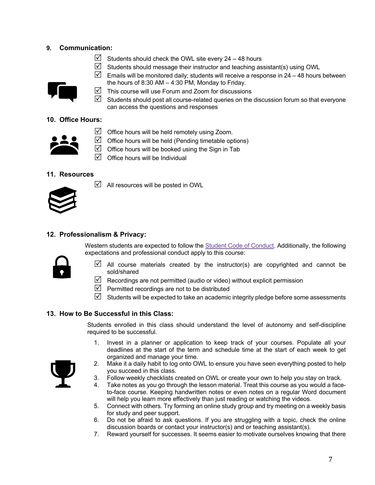## **9. Communication:**

 $\boxtimes$  Students should check the OWL site every 24 – 48 hours





- Emails will be monitored daily; students will receive a response in 24 48 hours between the hours of 8:30 AM – 4:30 PM, Monday to Friday.
- $\triangledown$  This course will use Forum and Zoom for discussions
- $\triangledown$  Students should post all course-related queries on the discussion forum so that everyone can access the questions and responses

# **10. Office Hours:**

| ۰ | ۰ |
|---|---|
|   |   |

- $\triangledown$  Office hours will be held remotely using Zoom.
- $\triangledown$  Office hours will be held (Pending timetable options)
- $\triangledown$  Office hours will be booked using the Sign in Tab
- $\overline{M}$  Office hours will be Individual

# **11. Resources**



 $\blacksquare$  All resources will be posted in OWL

# **12. Professionalism & Privacy:**

Western students are expected to follow the Student Code of Conduct. Additionally, the following expectations and professional conduct apply to this course:



- $\triangledown$  All course materials created by the instructor(s) are copyrighted and cannot be sold/shared
- $\triangledown$  Recordings are not permitted (audio or video) without explicit permission
- $\triangledown$  Permitted recordings are not to be distributed
- $\boxtimes$  Students will be expected to take an academic integrity pledge before some assessments

### **13. How to Be Successful in this Class:**

Students enrolled in this class should understand the level of autonomy and self-discipline required to be successful.

1. Invest in a planner or application to keep track of your courses. Populate all your deadlines at the start of the term and schedule time at the start of each week to get organized and manage your time.



- 2. Make it a daily habit to log onto OWL to ensure you have seen everything posted to help you succeed in this class.
- 3. Follow weekly checklists created on OWL or create your own to help you stay on track.
- 4. Take notes as you go through the lesson material. Treat this course as you would a faceto-face course. Keeping handwritten notes or even notes on a regular Word document will help you learn more effectively than just reading or watching the videos.
- 5. Connect with others. Try forming an online study group and try meeting on a weekly basis for study and peer support.
- 6. Do not be afraid to ask questions. If you are struggling with a topic, check the online discussion boards or contact your instructor(s) and or teaching assistant(s).
- 7. Reward yourself for successes. It seems easier to motivate ourselves knowing that there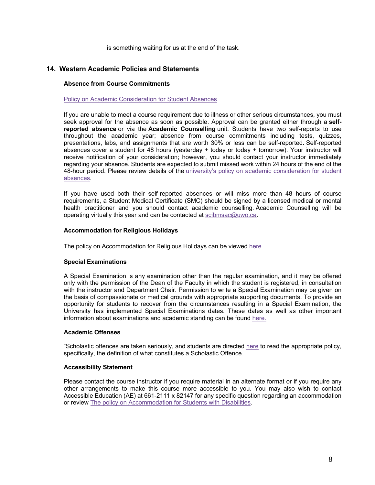is something waiting for us at the end of the task.

### **14. Western Academic Policies and Statements**

#### **Absence from Course Commitments**

#### Policy on Academic Consideration for Student Absences

If you are unable to meet a course requirement due to illness or other serious circumstances, you must seek approval for the absence as soon as possible. Approval can be granted either through a **selfreported absence** or via the **Academic Counselling** unit. Students have two self-reports to use throughout the academic year; absence from course commitments including tests, quizzes, presentations, labs, and assignments that are worth 30% or less can be self-reported. Self-reported absences cover a student for 48 hours (yesterday + today or today + tomorrow). Your instructor will receive notification of your consideration; however, you should contact your instructor immediately regarding your absence. Students are expected to submit missed work within 24 hours of the end of the 48-hour period. Please review details of the university's policy on academic consideration for student absences.

If you have used both their self-reported absences or will miss more than 48 hours of course requirements, a Student Medical Certificate (SMC) should be signed by a licensed medical or mental health practitioner and you should contact academic counselling. Academic Counselling will be operating virtually this year and can be contacted at scibmsac@uwo.ca.

#### **Accommodation for Religious Holidays**

The policy on Accommodation for Religious Holidays can be viewed here.

#### **Special Examinations**

A Special Examination is any examination other than the regular examination, and it may be offered only with the permission of the Dean of the Faculty in which the student is registered, in consultation with the instructor and Department Chair. Permission to write a Special Examination may be given on the basis of compassionate or medical grounds with appropriate supporting documents. To provide an opportunity for students to recover from the circumstances resulting in a Special Examination, the University has implemented Special Examinations dates. These dates as well as other important information about examinations and academic standing can be found here.

#### **Academic Offenses**

"Scholastic offences are taken seriously, and students are directed here to read the appropriate policy, specifically, the definition of what constitutes a Scholastic Offence.

#### **Accessibility Statement**

Please contact the course instructor if you require material in an alternate format or if you require any other arrangements to make this course more accessible to you. You may also wish to contact Accessible Education (AE) at 661-2111 x 82147 for any specific question regarding an accommodation or review The policy on Accommodation for Students with Disabilities.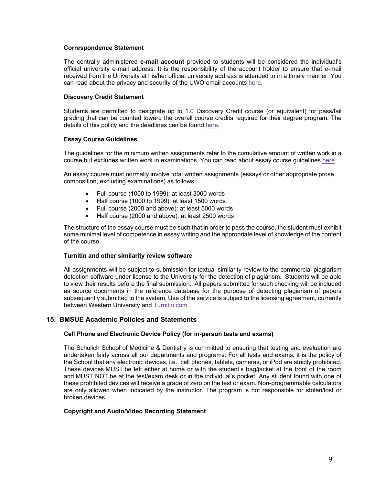#### **Correspondence Statement**

The centrally administered **e-mail account** provided to students will be considered the individual's official university e-mail address. It is the responsibility of the account holder to ensure that e-mail received from the University at his/her official university address is attended to in a timely manner. You can read about the privacy and security of the UWO email accounts here.

#### **Discovery Credit Statement**

Students are permitted to designate up to 1.0 Discovery Credit course (or equivalent) for pass/fail grading that can be counted toward the overall course credits required for their degree program. The details of this policy and the deadlines can be found here.

#### **Essay Course Guidelines**

The guidelines for the minimum written assignments refer to the cumulative amount of written work in a course but excludes written work in examinations. You can read about essay course guidelines here.

An essay course must normally involve total written assignments (essays or other appropriate prose composition, excluding examinations) as follows:

- Full course (1000 to 1999): at least 3000 words
- Half course (1000 to 1999): at least 1500 words
- Full course (2000 and above): at least 5000 words
- Half course (2000 and above): at least 2500 words

The structure of the essay course must be such that in order to pass the course, the student must exhibit some minimal level of competence in essay writing and the appropriate level of knowledge of the content of the course.

#### **Turnitin and other similarity review software**

All assignments will be subject to submission for textual similarity review to the commercial plagiarism detection software under license to the University for the detection of plagiarism. Students will be able to view their results before the final submission. All papers submitted for such checking will be included as source documents in the reference database for the purpose of detecting plagiarism of papers subsequently submitted to the system. Use of the service is subject to the licensing agreement, currently between Western University and Turnitin.com.

### **15. BMSUE Academic Policies and Statements**

#### **Cell Phone and Electronic Device Policy (for in-person tests and exams)**

The Schulich School of Medicine & Dentistry is committed to ensuring that testing and evaluation are undertaken fairly across all our departments and programs. For all tests and exams, it is the policy of the School that any electronic devices, i.e., cell phones, tablets, cameras, or iPod are strictly prohibited. These devices MUST be left either at home or with the student's bag/jacket at the front of the room and MUST NOT be at the test/exam desk or in the individual's pocket. Any student found with one of these prohibited devices will receive a grade of zero on the test or exam. Non-programmable calculators are only allowed when indicated by the instructor. The program is not responsible for stolen/lost or broken devices.

#### **Copyright and Audio/Video Recording Statement**